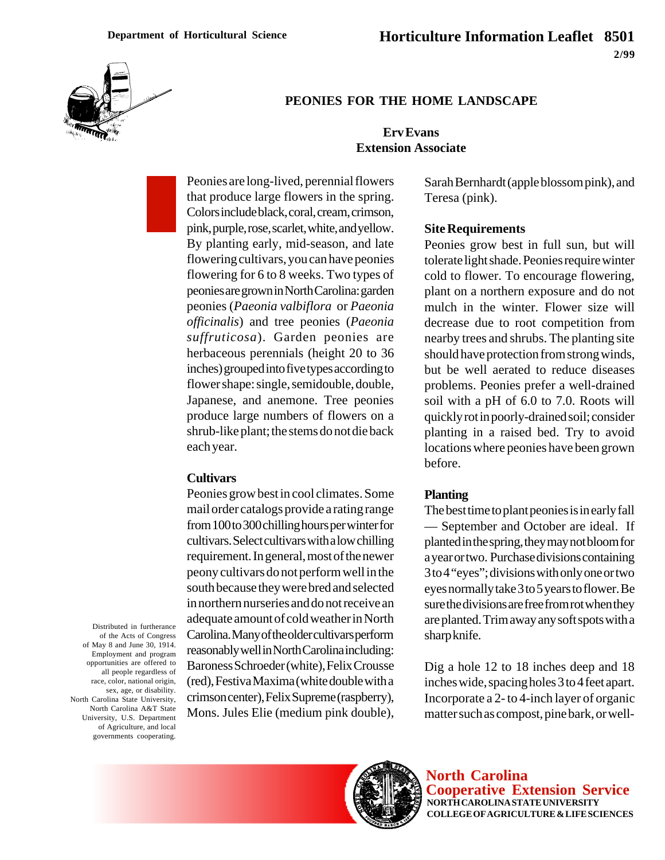

## **PEONIES FOR THE HOME LANDSCAPE**

## **Erv Evans Extension Associate**

Peonies are long-lived, perennial flowers that produce large flowers in the spring. Colors include black, coral, cream, crimson, pink, purple, rose, scarlet, white, and yellow. By planting early, mid-season, and late flowering cultivars, you can have peonies flowering for 6 to 8 weeks. Two types of peonies are grown in North Carolina: garden peonies (*Paeonia valbiflora* or *Paeonia officinalis*) and tree peonies (*Paeonia suffruticosa*). Garden peonies are herbaceous perennials (height 20 to 36 inches) grouped into five types according to flower shape: single, semidouble, double, Japanese, and anemone. Tree peonies produce large numbers of flowers on a shrub-like plant; the stems do not die back each year.

### **Cultivars**

Peonies grow best in cool climates. Some mail order catalogs provide a rating range from 100 to 300 chilling hours per winter for cultivars. Select cultivars with a low chilling requirement. In general, most of the newer peony cultivars do not perform well in the south because they were bred and selected in northern nurseries and do not receive an adequate amount of cold weather in North Carolina. Many of the older cultivars perform reasonably well in North Carolina including: Baroness Schroeder (white), Felix Crousse (red), Festiva Maxima (white double with a crimson center), Felix Supreme (raspberry), Mons. Jules Elie (medium pink double),

Sarah Bernhardt (apple blossom pink), and Teresa (pink).

#### **Site Requirements**

Peonies grow best in full sun, but will tolerate light shade. Peonies require winter cold to flower. To encourage flowering, plant on a northern exposure and do not mulch in the winter. Flower size will decrease due to root competition from nearby trees and shrubs. The planting site should have protection from strong winds, but be well aerated to reduce diseases problems. Peonies prefer a well-drained soil with a pH of 6.0 to 7.0. Roots will quickly rot in poorly-drained soil; consider planting in a raised bed. Try to avoid locations where peonies have been grown before.

#### **Planting**

The best time to plant peonies is in early fall — September and October are ideal. If planted in the spring, they may not bloom for a year or two. Purchase divisions containing 3 to 4 "eyes"; divisions with only one or two eyes normally take 3 to 5 years to flower. Be sure the divisions are free from rot when they are planted. Trim away any soft spots with a sharp knife.

Dig a hole 12 to 18 inches deep and 18 inches wide, spacing holes 3 to 4 feet apart. Incorporate a 2- to 4-inch layer of organic matter such as compost, pine bark, or well-

Distributed in furtherance of the Acts of Congress of May 8 and June 30, 1914. Employment and program opportunities are offered to all people regardless of race, color, national origin, sex, age, or disability. North Carolina State University, North Carolina A&T State University, U.S. Department of Agriculture, and local governments cooperating.



**North Carolina Cooperative Extension Service NORTH CAROLINA STATE UNIVERSITY COLLEGE OF AGRICULTURE & LIFE SCIENCES**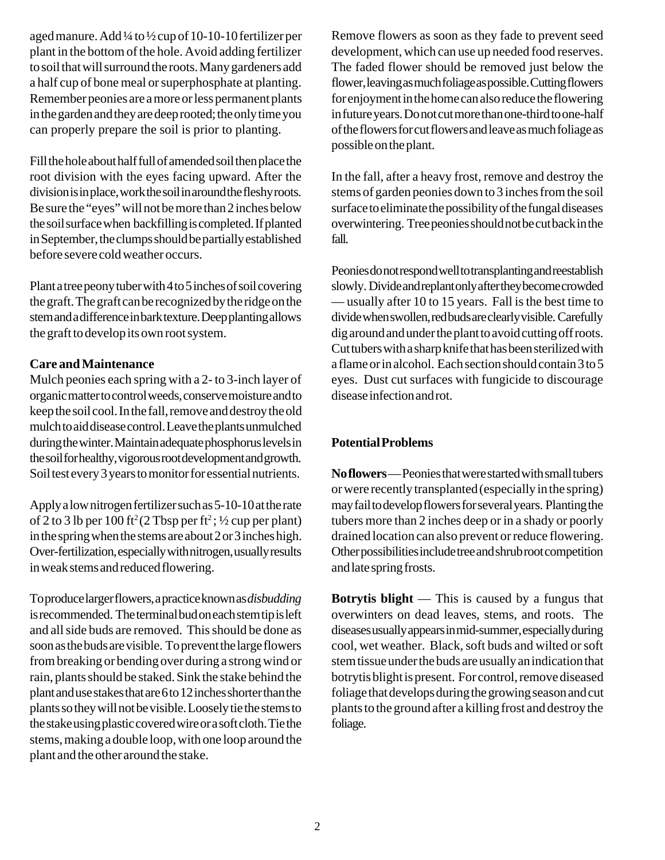aged manure. Add ¼ to ½ cup of 10-10-10 fertilizer per plant in the bottom of the hole. Avoid adding fertilizer to soil that will surround the roots. Many gardeners add a half cup of bone meal or superphosphate at planting. Remember peonies are a more or less permanent plants in the garden and they are deep rooted; the only time you can properly prepare the soil is prior to planting.

Fill the hole about half full of amended soil then place the root division with the eyes facing upward. After the division is in place, work the soil in around the fleshy roots. Be sure the "eyes" will not be more than 2 inches below the soil surface when backfilling is completed. If planted in September, the clumps should be partially established before severe cold weather occurs.

Plant a tree peony tuber with 4 to 5 inches of soil covering the graft. The graft can be recognized by the ridge on the stem and a difference in bark texture. Deep planting allows the graft to develop its own root system.

## **Care and Maintenance**

Mulch peonies each spring with a 2- to 3-inch layer of organic matter to control weeds, conserve moisture and to keep the soil cool. In the fall, remove and destroy the old mulch to aid disease control. Leave the plants unmulched during the winter. Maintain adequate phosphorus levels in the soil for healthy, vigorous root development and growth. Soil test every 3 years to monitor for essential nutrients.

Apply a low nitrogen fertilizer such as 5-10-10 at the rate of 2 to 3 lb per 100 ft<sup>2</sup> (2 Tbsp per ft<sup>2</sup>;  $\frac{1}{2}$  cup per plant) in the spring when the stems are about 2 or 3 inches high. Over-fertilization, especially with nitrogen, usually results in weak stems and reduced flowering.

To produce larger flowers, a practice known as *disbudding* is recommended. The terminal bud on each stem tip is left and all side buds are removed. This should be done as soon as the buds are visible. To prevent the large flowers from breaking or bending over during a strong wind or rain, plants should be staked. Sink the stake behind the plant and use stakes that are 6 to 12 inches shorter than the plants so they will not be visible. Loosely tie the stems to the stake using plastic covered wire or a soft cloth. Tie the stems, making a double loop, with one loop around the plant and the other around the stake.

Remove flowers as soon as they fade to prevent seed development, which can use up needed food reserves. The faded flower should be removed just below the flower, leaving as much foliage as possible. Cutting flowers for enjoyment in the home can also reduce the flowering in future years. Do not cut more than one-third to one-half of the flowers for cut flowers and leave as much foliage as possible on the plant.

In the fall, after a heavy frost, remove and destroy the stems of garden peonies down to 3 inches from the soil surface to eliminate the possibility of the fungal diseases overwintering. Tree peonies should not be cut back in the fall.

Peonies do not respond well to transplanting and reestablish slowly. Divide and replant only after they become crowded — usually after 10 to 15 years. Fall is the best time to divide when swollen, red buds are clearly visible. Carefully dig around and under the plant to avoid cutting off roots. Cut tubers with a sharp knife that has been sterilized with a flame or in alcohol. Each section should contain 3 to 5 eyes. Dust cut surfaces with fungicide to discourage disease infection and rot.

# **Potential Problems**

**No flowers** — Peonies that were started with small tubers or were recently transplanted (especially in the spring) may fail to develop flowers for several years. Planting the tubers more than 2 inches deep or in a shady or poorly drained location can also prevent or reduce flowering. Other possibilities include tree and shrub root competition and late spring frosts.

**Botrytis blight** — This is caused by a fungus that overwinters on dead leaves, stems, and roots. The diseases usually appears in mid-summer, especially during cool, wet weather. Black, soft buds and wilted or soft stem tissue under the buds are usually an indication that botrytis blight is present. For control, remove diseased foliage that develops during the growing season and cut plants to the ground after a killing frost and destroy the foliage.